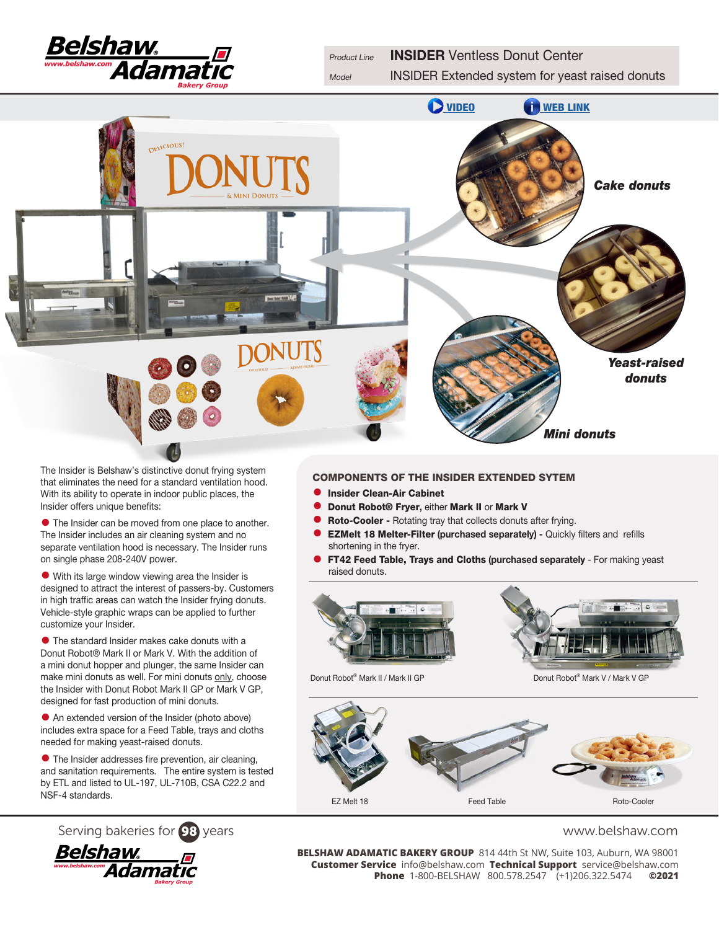

Model **INSIDER Extended system for yeast raised donuts** 



The Insider is Belshaw's distinctive donut frying system that eliminates the need for a standard ventilation hood. With its ability to operate in indoor public places, the Insider offers unique benefits:

• The Insider can be moved from one place to another. The Insider includes an air cleaning system and no separate ventilation hood is necessary. The Insider runs on single phase 208-240V power.

• With its large window viewing area the Insider is designed to attract the interest of passers-by. Customers in high traffic areas can watch the Insider frying donuts. Vehicle-style graphic wraps can be applied to further customize your Insider.

• The standard Insider makes cake donuts with a Donut Robot® Mark II or Mark V. With the addition of a mini donut hopper and plunger, the same Insider can make mini donuts as well. For mini donuts only, choose the Insider with Donut Robot Mark II GP or Mark V GP, designed for fast production of mini donuts.

• An extended version of the Insider (photo above) includes extra space for a Feed Table, trays and cloths needed for making yeast-raised donuts.

• The Insider addresses fire prevention, air cleaning, and sanitation requirements. The entire system is tested by ETL and listed to UL-197, UL-710B, CSA C22.2 and NSF-4 standards.





### COMPONENTS OF THE INSIDER EXTENDED SYTEM

- **Insider Clean-Air Cabinet**<br>• Donut Bobot® Fryer eithe
- Donut Robot® Fryer, either Mark II or Mark V<br>● Roto-Cooler Rotating tray that collects donuts
	- **Roto-Cooler Rotating tray that collects donuts after frying.**
- **EZMelt 18 Melter-Filter (purchased separately) Quickly filters and refills** shortening in the fryer.
- FT42 Feed Table, Trays and Cloths (purchased separately For making yeast raised donuts.



Donut Robot<sup>®</sup> Mark II / Mark II GP Donut Robot® Mark V / Mark V GP



Serving bakeries for **98** years<br>**BELSHAW ADAMATIC BAKERY GROUP** 814 44th St NW, Suite 103, Auburn, WA 98001<br>Customer Service info@belshaw.com Technical Support service@belshaw.com **BELSHAW ADAMATIC BAKERY GROUP** 814 44th St NW, Suite 103, Auburn, WA 98001 **Customer Service** info@belshaw.com **Technical Support** service@belshaw.com **Phone** 1-800-BELSHAW 800.578.2547 (+1)206.322.5474 **©2021**